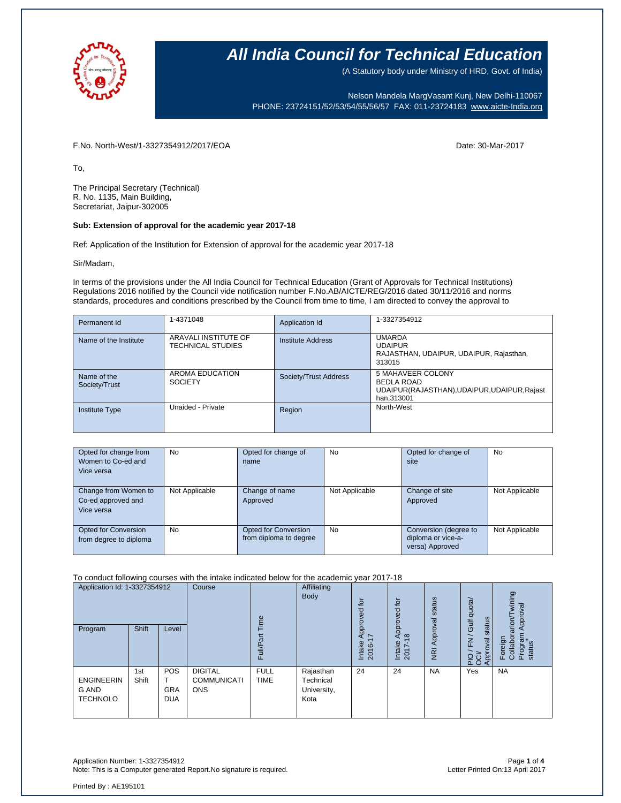

(A Statutory body under Ministry of HRD, Govt. of India)

Nelson Mandela MargVasant Kunj, New Delhi-110067 PHONE: 23724151/52/53/54/55/56/57 FAX: 011-23724183 [www.aicte-India.org](http://www.aicte-india.org/)

F.No. North-West/1-3327354912/2017/EOA Date: 30-Mar-2017

To,

The Principal Secretary (Technical) R. No. 1135, Main Building, Secretariat, Jaipur-302005

### **Sub: Extension of approval for the academic year 2017-18**

Ref: Application of the Institution for Extension of approval for the academic year 2017-18

Sir/Madam,

In terms of the provisions under the All India Council for Technical Education (Grant of Approvals for Technical Institutions) Regulations 2016 notified by the Council vide notification number F.No.AB/AICTE/REG/2016 dated 30/11/2016 and norms standards, procedures and conditions prescribed by the Council from time to time, I am directed to convey the approval to

| Permanent Id                 | 1-4371048                                        | Application Id           | 1-3327354912                                                                                         |
|------------------------------|--------------------------------------------------|--------------------------|------------------------------------------------------------------------------------------------------|
| Name of the Institute        | ARAVALI INSTITUTE OF<br><b>TECHNICAL STUDIES</b> | <b>Institute Address</b> | <b>UMARDA</b><br><b>UDAIPUR</b><br>RAJASTHAN, UDAIPUR, UDAIPUR, Rajasthan,<br>313015                 |
| Name of the<br>Society/Trust | AROMA EDUCATION<br><b>SOCIETY</b>                | Society/Trust Address    | 5 MAHAVEER COLONY<br><b>BEDLA ROAD</b><br>UDAIPUR(RAJASTHAN), UDAIPUR, UDAIPUR, Rajast<br>han.313001 |
| <b>Institute Type</b>        | Unaided - Private                                | Region                   | North-West                                                                                           |

| Opted for change from<br>Women to Co-ed and<br>Vice versa | <b>No</b>      | Opted for change of<br>name                    | <b>No</b>      | Opted for change of<br>site                                    | <b>No</b>      |
|-----------------------------------------------------------|----------------|------------------------------------------------|----------------|----------------------------------------------------------------|----------------|
| Change from Women to<br>Co-ed approved and<br>Vice versa  | Not Applicable | Change of name<br>Approved                     | Not Applicable | Change of site<br>Approved                                     | Not Applicable |
| Opted for Conversion<br>from degree to diploma            | No.            | Opted for Conversion<br>from diploma to degree | <b>No</b>      | Conversion (degree to<br>diploma or vice-a-<br>versa) Approved | Not Applicable |

#### To conduct following courses with the intake indicated below for the academic year 2017-18

| Application Id: 1-3327354912<br>Program       | <b>Shift</b> | Level                                  | Course                                             | Time<br>āť<br>Full/P       | Affiliating<br>Body                           | tor<br>공<br>Appro <sup>v</sup><br>$\sim$<br>Intake<br>2016 | ίō<br>yed<br>ppro<br>₹<br>$\infty$<br>Intake<br>2017 | Approval status<br>$\overline{g}$ | Gulf quota/<br>status<br>∽<br>준<br>PIO / FN<br>OCI/<br>Approval | wining<br>Approval<br>Foreign<br>Collaborarion/T<br>Program<br>status |
|-----------------------------------------------|--------------|----------------------------------------|----------------------------------------------------|----------------------------|-----------------------------------------------|------------------------------------------------------------|------------------------------------------------------|-----------------------------------|-----------------------------------------------------------------|-----------------------------------------------------------------------|
| <b>ENGINEERIN</b><br>G AND<br><b>TECHNOLO</b> | 1st<br>Shift | <b>POS</b><br><b>GRA</b><br><b>DUA</b> | <b>DIGITAL</b><br><b>COMMUNICATI</b><br><b>ONS</b> | <b>FULL</b><br><b>TIME</b> | Rajasthan<br>Technical<br>University,<br>Kota | 24                                                         | 24                                                   | <b>NA</b>                         | Yes                                                             | <b>NA</b>                                                             |

Application Number: 1-3327354912 Page **1** of **4** Note: This is a Computer generated Report.No signature is required.

Printed By : AE195101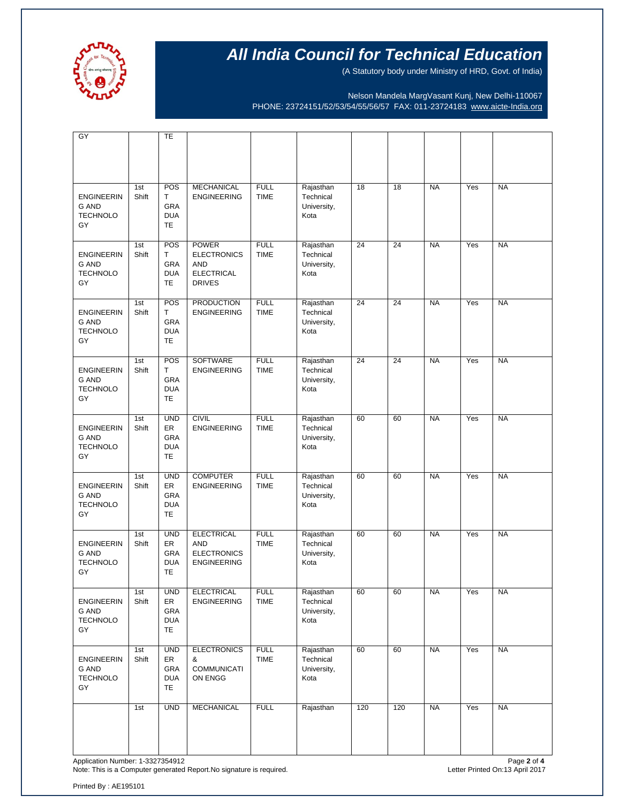

(A Statutory body under Ministry of HRD, Govt. of India)

Nelson Mandela MargVasant Kunj, New Delhi-110067 PHONE: 23724151/52/53/54/55/56/57 FAX: 011-23724183 [www.aicte-India.org](http://www.aicte-india.org/)

| GY                                                         |              | <b>TE</b>                                          |                                                                                 |                            |                                               |     |     |           |     |           |
|------------------------------------------------------------|--------------|----------------------------------------------------|---------------------------------------------------------------------------------|----------------------------|-----------------------------------------------|-----|-----|-----------|-----|-----------|
|                                                            |              |                                                    |                                                                                 |                            |                                               |     |     |           |     |           |
| <b>ENGINEERIN</b><br>G AND<br><b>TECHNOLO</b><br>GY        | 1st<br>Shift | POS<br>T<br>GRA<br><b>DUA</b><br>TE                | <b>MECHANICAL</b><br><b>ENGINEERING</b>                                         | <b>FULL</b><br><b>TIME</b> | Rajasthan<br>Technical<br>University,<br>Kota | 18  | 18  | <b>NA</b> | Yes | <b>NA</b> |
| <b>ENGINEERIN</b><br>G AND<br><b>TECHNOLO</b><br>GY        | 1st<br>Shift | POS<br>Т<br>GRA<br><b>DUA</b><br>TE                | <b>POWER</b><br><b>ELECTRONICS</b><br>AND<br><b>ELECTRICAL</b><br><b>DRIVES</b> | <b>FULL</b><br><b>TIME</b> | Rajasthan<br>Technical<br>University,<br>Kota | 24  | 24  | <b>NA</b> | Yes | <b>NA</b> |
| <b>ENGINEERIN</b><br><b>G AND</b><br><b>TECHNOLO</b><br>GY | 1st<br>Shift | POS<br>T<br>GRA<br><b>DUA</b><br>TE                | <b>PRODUCTION</b><br><b>ENGINEERING</b>                                         | <b>FULL</b><br><b>TIME</b> | Rajasthan<br>Technical<br>University,<br>Kota | 24  | 24  | <b>NA</b> | Yes | <b>NA</b> |
| <b>ENGINEERIN</b><br><b>G AND</b><br><b>TECHNOLO</b><br>GY | 1st<br>Shift | POS<br>T<br>GRA<br><b>DUA</b><br>TE                | <b>SOFTWARE</b><br><b>ENGINEERING</b>                                           | <b>FULL</b><br><b>TIME</b> | Rajasthan<br>Technical<br>University,<br>Kota | 24  | 24  | <b>NA</b> | Yes | <b>NA</b> |
| <b>ENGINEERIN</b><br><b>G AND</b><br><b>TECHNOLO</b><br>GY | 1st<br>Shift | <b>UND</b><br>ER<br>GRA<br><b>DUA</b><br>TE        | <b>CIVIL</b><br><b>ENGINEERING</b>                                              | <b>FULL</b><br><b>TIME</b> | Rajasthan<br>Technical<br>University,<br>Kota | 60  | 60  | <b>NA</b> | Yes | <b>NA</b> |
| <b>ENGINEERIN</b><br><b>G AND</b><br><b>TECHNOLO</b><br>GY | 1st<br>Shift | <b>UND</b><br>ER<br>GRA<br><b>DUA</b><br>TE.       | <b>COMPUTER</b><br><b>ENGINEERING</b>                                           | <b>FULL</b><br><b>TIME</b> | Rajasthan<br>Technical<br>University,<br>Kota | 60  | 60  | <b>NA</b> | Yes | <b>NA</b> |
| <b>ENGINEERIN</b><br><b>G AND</b><br><b>TECHNOLO</b><br>GY | 1st<br>Shift | <b>UND</b><br>ER<br>GRA<br><b>DUA</b><br>TE        | <b>ELECTRICAL</b><br><b>AND</b><br><b>ELECTRONICS</b><br><b>ENGINEERING</b>     | <b>FULL</b><br><b>TIME</b> | Rajasthan<br>Technical<br>University,<br>Kota | 60  | 60  | <b>NA</b> | Yes | <b>NA</b> |
| <b>ENGINEERIN</b><br>G AND<br><b>TECHNOLO</b><br>GY        | 1st<br>Shift | <b>UND</b><br>ER<br>GRA<br><b>DUA</b><br><b>TE</b> | <b>ELECTRICAL</b><br><b>ENGINEERING</b>                                         | <b>FULL</b><br><b>TIME</b> | Rajasthan<br>Technical<br>University,<br>Kota | 60  | 60  | <b>NA</b> | Yes | <b>NA</b> |
| <b>ENGINEERIN</b><br>G AND<br><b>TECHNOLO</b><br>GY        | 1st<br>Shift | <b>UND</b><br>ER<br>GRA<br><b>DUA</b><br>TE        | <b>ELECTRONICS</b><br>&<br><b>COMMUNICATI</b><br>ON ENGG                        | <b>FULL</b><br>TIME        | Rajasthan<br>Technical<br>University,<br>Kota | 60  | 60  | <b>NA</b> | Yes | <b>NA</b> |
|                                                            | 1st          | <b>UND</b>                                         | <b>MECHANICAL</b>                                                               | <b>FULL</b>                | Rajasthan                                     | 120 | 120 | <b>NA</b> | Yes | <b>NA</b> |

Application Number: 1-3327354912<br>Note: This is a Computer generated Report.No signature is required.<br>Note: This is a Computer generated Report.No signature is required. Note: This is a Computer generated Report. No signature is required.

Printed By : AE195101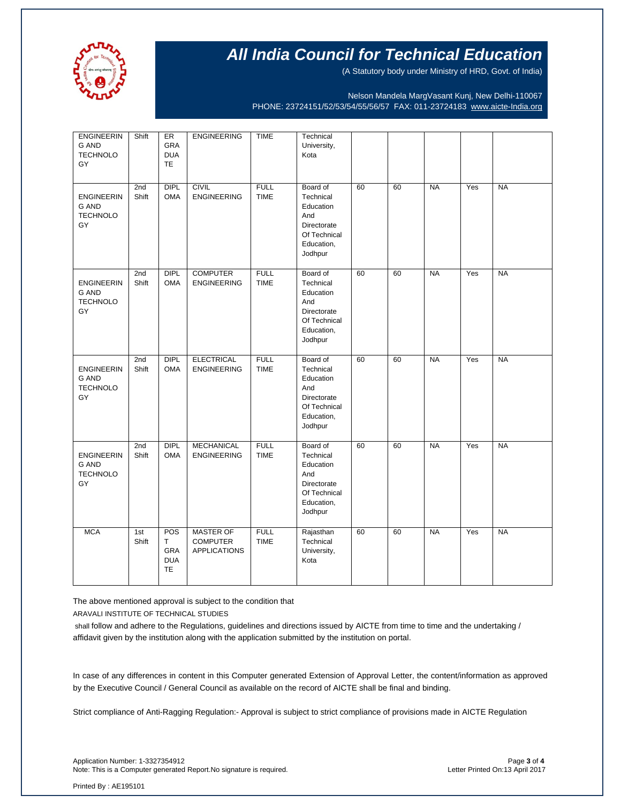

(A Statutory body under Ministry of HRD, Govt. of India)

Nelson Mandela MargVasant Kunj, New Delhi-110067 PHONE: 23724151/52/53/54/55/56/57 FAX: 011-23724183 [www.aicte-India.org](http://www.aicte-india.org/)

| <b>ENGINEERIN</b><br>G AND<br><b>TECHNOLO</b><br>GY        | Shift        | ER<br>GRA<br><b>DUA</b><br><b>TE</b>       | <b>ENGINEERING</b>                                         | <b>TIME</b>                | Technical<br>University,<br>Kota                                                                  |    |    |           |     |           |
|------------------------------------------------------------|--------------|--------------------------------------------|------------------------------------------------------------|----------------------------|---------------------------------------------------------------------------------------------------|----|----|-----------|-----|-----------|
| <b>ENGINEERIN</b><br>G AND<br><b>TECHNOLO</b><br>GY        | 2nd<br>Shift | <b>DIPL</b><br><b>OMA</b>                  | <b>CIVIL</b><br><b>ENGINEERING</b>                         | <b>FULL</b><br><b>TIME</b> | Board of<br>Technical<br>Education<br>And<br>Directorate<br>Of Technical<br>Education,<br>Jodhpur | 60 | 60 | <b>NA</b> | Yes | <b>NA</b> |
| <b>ENGINEERIN</b><br><b>G AND</b><br><b>TECHNOLO</b><br>GY | 2nd<br>Shift | <b>DIPL</b><br><b>OMA</b>                  | <b>COMPUTER</b><br><b>ENGINEERING</b>                      | <b>FULL</b><br><b>TIME</b> | Board of<br>Technical<br>Education<br>And<br>Directorate<br>Of Technical<br>Education,<br>Jodhpur | 60 | 60 | <b>NA</b> | Yes | <b>NA</b> |
| <b>ENGINEERIN</b><br><b>G AND</b><br><b>TECHNOLO</b><br>GY | 2nd<br>Shift | <b>DIPL</b><br><b>OMA</b>                  | <b>ELECTRICAL</b><br><b>ENGINEERING</b>                    | <b>FULL</b><br><b>TIME</b> | Board of<br>Technical<br>Education<br>And<br>Directorate<br>Of Technical<br>Education,<br>Jodhpur | 60 | 60 | <b>NA</b> | Yes | <b>NA</b> |
| <b>ENGINEERIN</b><br><b>G AND</b><br><b>TECHNOLO</b><br>GY | 2nd<br>Shift | <b>DIPL</b><br><b>OMA</b>                  | <b>MECHANICAL</b><br><b>ENGINEERING</b>                    | <b>FULL</b><br><b>TIME</b> | Board of<br>Technical<br>Education<br>And<br>Directorate<br>Of Technical<br>Education,<br>Jodhpur | 60 | 60 | <b>NA</b> | Yes | <b>NA</b> |
| <b>MCA</b>                                                 | 1st<br>Shift | POS<br>Τ<br>GRA<br><b>DUA</b><br><b>TE</b> | <b>MASTER OF</b><br><b>COMPUTER</b><br><b>APPLICATIONS</b> | <b>FULL</b><br><b>TIME</b> | Rajasthan<br>Technical<br>University,<br>Kota                                                     | 60 | 60 | <b>NA</b> | Yes | <b>NA</b> |

The above mentioned approval is subject to the condition that

ARAVALI INSTITUTE OF TECHNICAL STUDIES

shall follow and adhere to the Regulations, guidelines and directions issued by AICTE from time to time and the undertaking / affidavit given by the institution along with the application submitted by the institution on portal.

In case of any differences in content in this Computer generated Extension of Approval Letter, the content/information as approved by the Executive Council / General Council as available on the record of AICTE shall be final and binding.

Strict compliance of Anti-Ragging Regulation:- Approval is subject to strict compliance of provisions made in AICTE Regulation